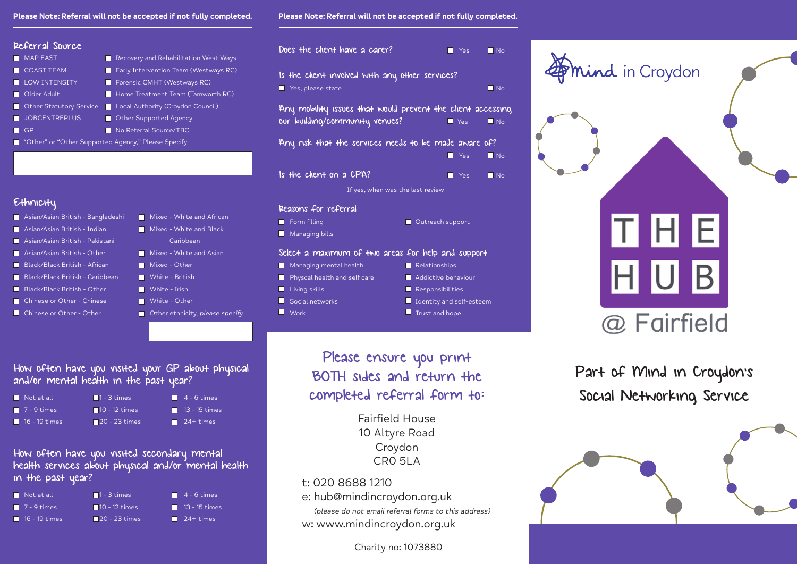#### Please Note: Referral will not be accepted if not fully completed. **Please Note: Referral will not be accepted if** not fully completed.

Asian/Asian British - Indian Mixed - White and Black

| Referral Source                                       |                                         |  |  |
|-------------------------------------------------------|-----------------------------------------|--|--|
| <b>MAP EAST</b>                                       | Recovery and Rehabilitation West Ways   |  |  |
| <b>COAST TEAM</b>                                     | E Early Intervention Team (Westways RC) |  |  |
| LOW INTENSITY                                         | <b>Forensic CMHT (Westways RC)</b>      |  |  |
| Older Adult                                           | Home Treatment Team (Tamworth RC)       |  |  |
| <b>Comparent Cheaper Contracts</b>                    | Local Authority (Croydon Council)       |  |  |
| <b>JOBCENTREPLUS</b>                                  | <b>Comparisher Supported Agency</b>     |  |  |
| GP                                                    | No Referral Source/TBC                  |  |  |
| ■ "Other" or "Other Supported Agency," Please Specify |                                         |  |  |
|                                                       |                                         |  |  |

#### Ethnicity

- Asian/Asian British Bangladeshi Mixed White and African
- 
- 
- 
- 
- 
- 
- Black/Black British Other White Irish
- **Chinese or Other Chinese White Other**
- Chinese or Other Other **Delays Chinese Specify**
- $\blacksquare$  Asian/Asian British Indian Mixed White and Black **Asian/Asian British - Pakistani** Caribbean **Asian/Asian British - Other Mixed - White and Asian** Black/Black British - African Mixed - Other **Black/Black British - Caribbean** Milte - British

| Does the client have a carer?                                                                 | <b>No.</b> Yes     | $\blacksquare$ No            |
|-----------------------------------------------------------------------------------------------|--------------------|------------------------------|
| Is the client involved with any other services?<br>Yes, please state                          |                    | $\overline{\blacksquare}$ No |
| Any mobility issues that would prevent the client accessing<br>our building/community venues? | $\blacksquare$ Yes | N <sub>o</sub>               |
| Any risk that the services needs to be made aware of?                                         | $\blacksquare$ Yes | N <sub>o</sub>               |

If yes, when was the last review

Is the client on a CPA?  $\blacksquare$  Yes  $\blacksquare$  No

Reasons for referral Form filling Contract Contract Contract Contract Contract Contract Contract Contract Contract Contract Contract Contract Contract Contract Contract Contract Contract Contract Contract Contract Contract Contract Contract Co **Managing bills** 

#### Select a maximum of two areas for help and support

**Managing mental health Relationships**  $\blacksquare$  Physcal health and self care  $\blacksquare$  Addictive behaviour  $\blacksquare$  Living skills  $\blacksquare$  Responsibilities **ID** Social networks **IDENET IDENTIFY** Identity and self-esteem **The Work Trust and hope** Trust and hope

 $\Box$ 

Please ensure you print BOTH sides and return the completed referral form to:

> Fairfield House 10 Altyre Road Croydon CR0 5LA

#### t: 020 8688 1210

e: hub@mindincroydon.org.uk

 (please do not email referral forms to this address) w: www.mindincroydon.org.uk

Charity no: 1073880



Part of Mind in Croydon's Social Networking Service



#### How often have you visited your GP about physical and/or mental health in the past year?

| $\blacksquare$ Not at all    | $\blacksquare$ 1 - 3 times   | $\blacksquare$ 4 - 6 times |
|------------------------------|------------------------------|----------------------------|
| $\blacksquare$ 7 - 9 times   | $\blacksquare$ 10 - 12 times | $\sqrt{2}$ 13 - 15 times   |
| $\blacksquare$ 16 - 19 times | $\Box$ 20 - 23 times         | $\blacksquare$ 24+ times   |

How often have you visited secondary mental health services about physical and/or mental health in the past year?

| Not at all                   | $\blacksquare$ 1 - 3 times   | $\overline{4}$ 4 - $\overline{6}$ times |
|------------------------------|------------------------------|-----------------------------------------|
| $\blacksquare$ 7 - 9 times   | $\blacksquare$ 10 - 12 times | $\blacksquare$ 13 - 15 times            |
| $\blacksquare$ 16 - 19 times | 20 - 23 times                | $\Box$ 24+ times                        |